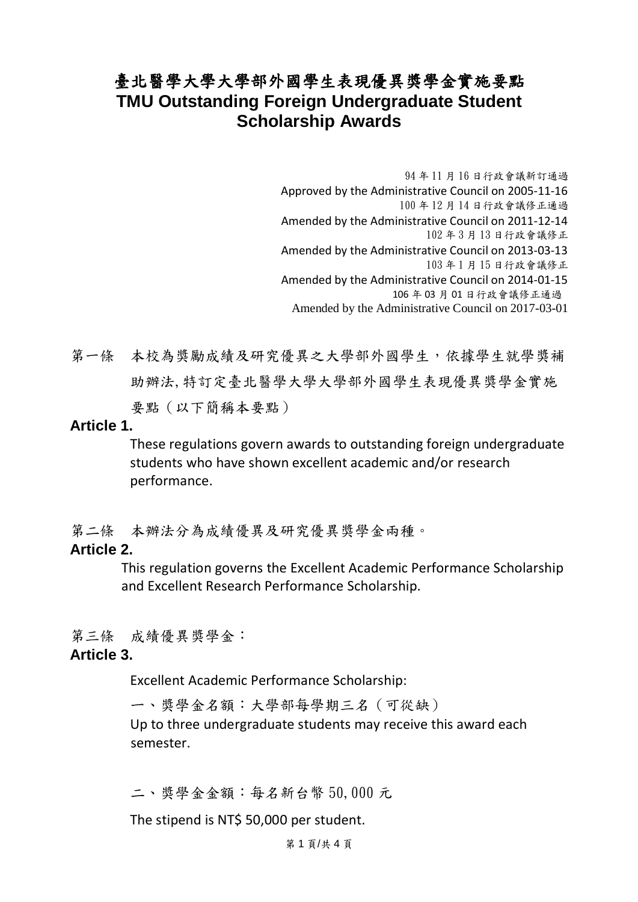## 臺北醫學大學大學部外國學生表現優異獎學金實施要點 **TMU Outstanding Foreign Undergraduate Student Scholarship Awards**

94 年 11 月 16 日行政會議新訂通過 Approved by the Administrative Council on 2005‐11‐16 100 年 12 月 14 日行政會議修正通過 Amended by the Administrative Council on 2011‐12‐14 102 年 3 月 13 日行政會議修正 Amended by the Administrative Council on 2013‐03‐13 103 年 1 月 15 日行政會議修正 Amended by the Administrative Council on 2014‐01‐15 106 年 03 月 01 日行政會議修正通過 Amended by the Administrative Council on 2017-03-01

第一條 本校為獎勵成績及研究優異之大學部外國學生,依據學生就學獎補 助辦法,特訂定臺北醫學大學大學部外國學生表現優異獎學金實施 要點(以下簡稱本要點)

#### **Article 1.**

These regulations govern awards to outstanding foreign undergraduate students who have shown excellent academic and/or research performance.

第二條 本辦法分為成績優異及研究優異獎學金兩種。

#### **Article 2.**

This regulation governs the Excellent Academic Performance Scholarship and Excellent Research Performance Scholarship.

第三條 成績優異獎學金:

#### **Article 3.**

Excellent Academic Performance Scholarship:

ㄧ、獎學金名額:大學部每學期三名(可從缺) Up to three undergraduate students may receive this award each semester.

二、獎學金金額:每名新台幣 50,000 元

The stipend is NT\$ 50,000 per student.

第 1 頁/共 4 頁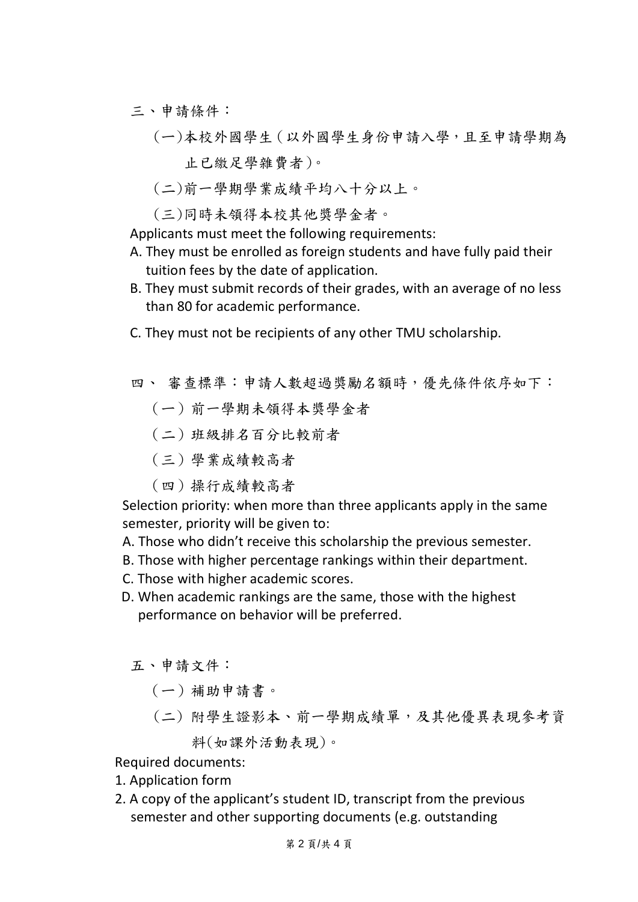- 三、申請條件:
	- (ㄧ)本校外國學生(以外國學生身份申請入學,且至申請學期為 止已繳足學雜費者)。
	- (二)前一學期學業成績平均八十分以上。
	- (三)同時未領得本校其他獎學金者。

Applicants must meet the following requirements:

- A. They must be enrolled as foreign students and have fully paid their tuition fees by the date of application.
- B. They must submit records of their grades, with an average of no less than 80 for academic performance.
- C. They must not be recipients of any other TMU scholarship.

四、 審查標準:申請人數超過獎勵名額時,優先條件依序如下:

- (ㄧ)前一學期未領得本獎學金者
- (二)班級排名百分比較前者
- (三)學業成績較高者
- (四)操行成績較高者

Selection priority: when more than three applicants apply in the same semester, priority will be given to:

- A. Those who didn't receive this scholarship the previous semester.
- B. Those with higher percentage rankings within their department.
- C. Those with higher academic scores.
- D. When academic rankings are the same, those with the highest performance on behavior will be preferred.

五、申請文件:

- (ㄧ)補助申請書。
- (二) 附學生證影本、前一學期成績單,及其他優異表現參考資 料(如課外活動表現)。

Required documents:

- 1. Application form
- 2. A copy of the applicant's student ID, transcript from the previous semester and other supporting documents (e.g. outstanding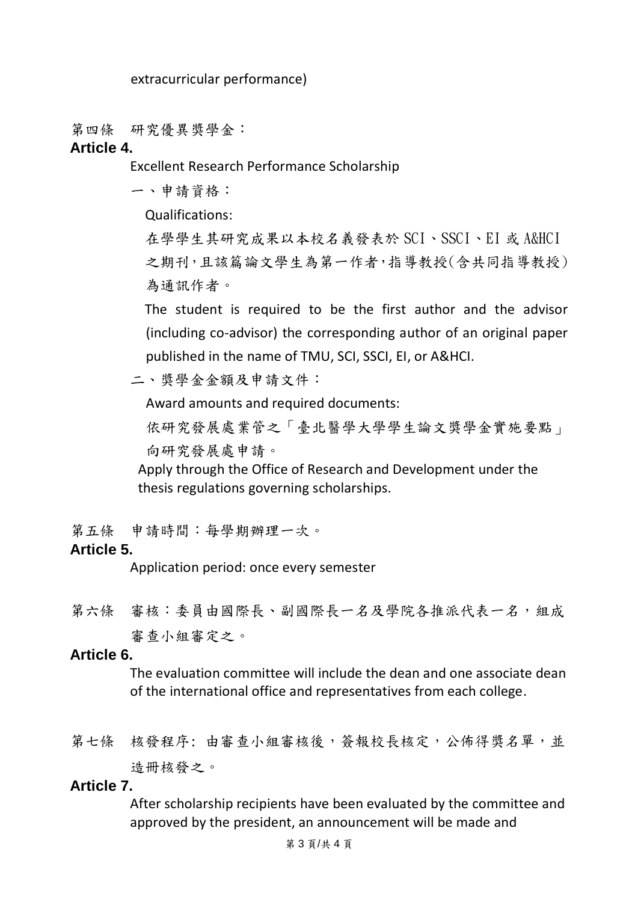extracurricular performance)

第四條 研究優異獎學金:

#### **Article 4.**

Excellent Research Performance Scholarship

一、申請資格:

Qualifications:

在學學生其研究成果以本校名義發表於 SCI、SSCI、EI 或 A&HCI 之期刊,且該篇論文學生為第一作者,指導教授(含共同指導教授) 為通訊作者。

The student is required to be the first author and the advisor (including co-advisor) the corresponding author of an original paper published in the name of TMU, SCI, SSCI, EI, or A&HCI.

二、獎學金金額及申請文件:

Award amounts and required documents:

依研究發展處業管之「臺北醫學大學學生論文獎學金實施要點」 向研究發展處申請。

Apply through the Office of Research and Development under the thesis regulations governing scholarships.

第五條 申請時間:每學期辦理一次。

### **Article 5.**

Application period: once every semester

第六條 審核:委員由國際長、副國際長一名及學院各推派代表一名,組成 審查小組審定之。

#### **Article 6.**

The evaluation committee will include the dean and one associate dean of the international office and representatives from each college.

第七條 核發程序: 由審查小組審核後, 簽報校長核定, 公佈得獎名單, 並 造冊核發之。

#### **Article 7.**

After scholarship recipients have been evaluated by the committee and approved by the president, an announcement will be made and